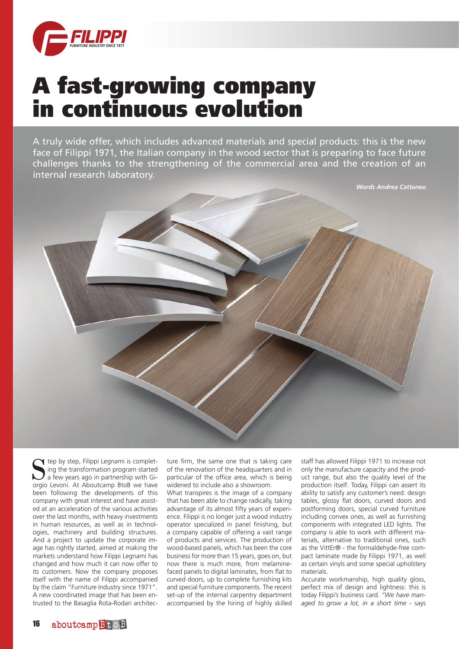

## A fast-growing company in continuous evolution

A truly wide offer, which includes advanced materials and special products: this is the new face of Filippi 1971, the Italian company in the wood sector that is preparing to face future challenges thanks to the strengthening of the commercial area and the creation of an internal research laboratory.



 $\blacktriangleleft$  tep by step, Filippi Legnami is completing the transformation program started a few years ago in partnership with Giorgio Levoni. At Aboutcamp BtoB we have been following the developments of this company with great interest and have assisted at an acceleration of the various activities over the last months, with heavy investments in human resources, as well as in technologies, machinery and building structures. And a project to update the corporate image has rightly started, aimed at making the markets understand how Filippi Legnami has changed and how much it can now offer to its customers. Now the company proposes itself with the name of Filippi accompanied by the claim "Furniture Industry since 1971". A new coordinated image that has been entrusted to the Basaglia Rota-Rodari architec-

ture firm, the same one that is taking care of the renovation of the headquarters and in particular of the office area, which is being widened to include also a showroom.

What transpires is the image of a company that has been able to change radically, taking advantage of its almost fifty years of experience. Filippi is no longer just a wood industry operator specialized in panel finishing, but a company capable of offering a vast range of products and services. The production of wood-based panels, which has been the core business for more than 15 years, goes on, but now there is much more, from melaminefaced panels to digital laminates, from flat to curved doors, up to complete furnishing kits and special furniture components. The recent set-up of the internal carpentry department accompanied by the hiring of highly skilled

staff has allowed Filippi 1971 to increase not only the manufacture capacity and the product range, but also the quality level of the production itself. Today, Filippi can assert its ability to satisfy any customer's need: design tables, glossy flat doors, curved doors and postforming doors, special curved furniture including convex ones, as well as furnishing components with integrated LED lights. The company is able to work with different materials, alternative to traditional ones, such as the VittEr® - the formaldehyde-free compact laminate made by Filippi 1971, as well as certain vinyls and some special upholstery materials.

Accurate workmanship, high quality gloss, perfect mix of design and lightness: this is today Filippi's business card. *"We have managed to grow a lot, in a short time* - says